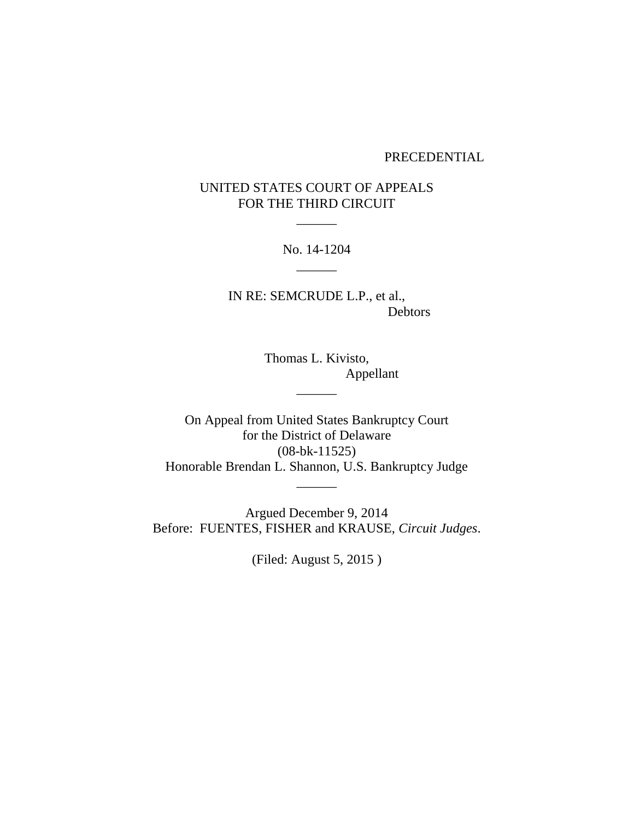### PRECEDENTIAL

# UNITED STATES COURT OF APPEALS FOR THE THIRD CIRCUIT

 $\overline{\phantom{a}}$ 

No. 14-1204  $\overline{\phantom{a}}$ 

IN RE: SEMCRUDE L.P., et al., Debtors

> Thomas L. Kivisto, Appellant

On Appeal from United States Bankruptcy Court for the District of Delaware (08-bk-11525) Honorable Brendan L. Shannon, U.S. Bankruptcy Judge

 $\overline{\phantom{a}}$ 

 $\overline{\phantom{a}}$ 

Argued December 9, 2014 Before: FUENTES, FISHER and KRAUSE, *Circuit Judges*.

(Filed: August 5, 2015 )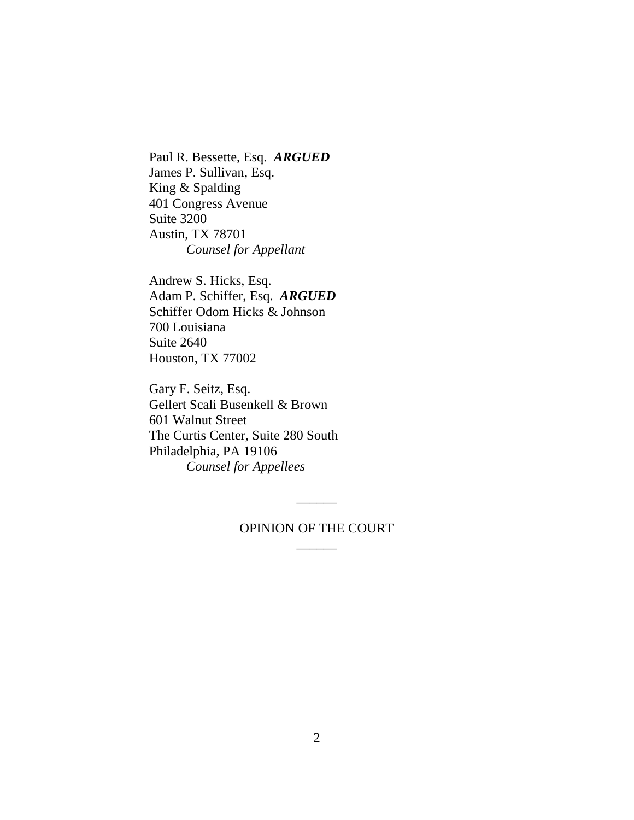Paul R. Bessette, Esq. *ARGUED* James P. Sullivan, Esq. King & Spalding 401 Congress Avenue Suite 3200 Austin, TX 78701 *Counsel for Appellant*

Andrew S. Hicks, Esq. Adam P. Schiffer, Esq. *ARGUED* Schiffer Odom Hicks & Johnson 700 Louisiana Suite 2640 Houston, TX 77002

Gary F. Seitz, Esq. Gellert Scali Busenkell & Brown 601 Walnut Street The Curtis Center, Suite 280 South Philadelphia, PA 19106 *Counsel for Appellees*

## OPINION OF THE COURT  $\overline{\phantom{a}}$

 $\overline{\phantom{a}}$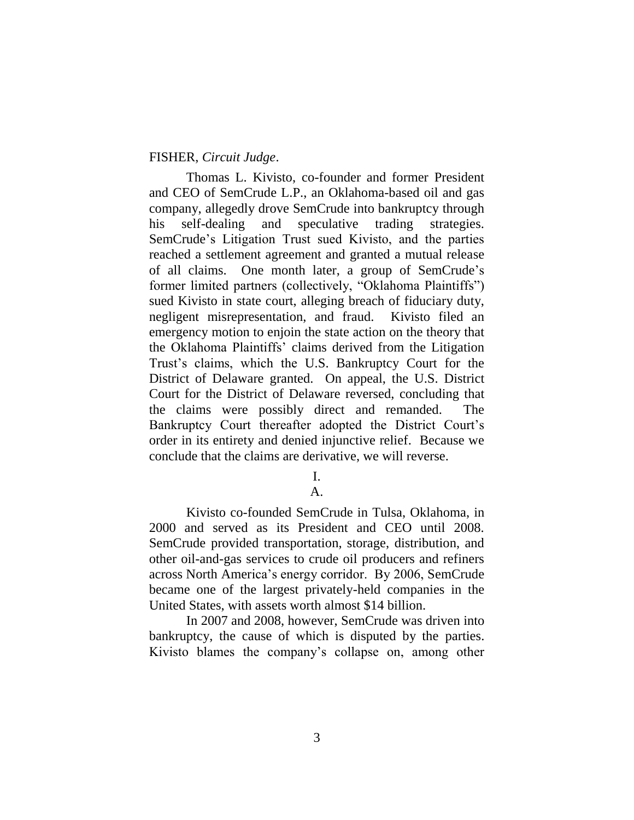### FISHER, *Circuit Judge*.

Thomas L. Kivisto, co-founder and former President and CEO of SemCrude L.P., an Oklahoma-based oil and gas company, allegedly drove SemCrude into bankruptcy through his self-dealing and speculative trading strategies. SemCrude's Litigation Trust sued Kivisto, and the parties reached a settlement agreement and granted a mutual release of all claims. One month later, a group of SemCrude's former limited partners (collectively, "Oklahoma Plaintiffs") sued Kivisto in state court, alleging breach of fiduciary duty, negligent misrepresentation, and fraud. Kivisto filed an emergency motion to enjoin the state action on the theory that the Oklahoma Plaintiffs' claims derived from the Litigation Trust's claims, which the U.S. Bankruptcy Court for the District of Delaware granted. On appeal, the U.S. District Court for the District of Delaware reversed, concluding that the claims were possibly direct and remanded. The Bankruptcy Court thereafter adopted the District Court's order in its entirety and denied injunctive relief. Because we conclude that the claims are derivative, we will reverse.

#### I. A.

Kivisto co-founded SemCrude in Tulsa, Oklahoma, in 2000 and served as its President and CEO until 2008. SemCrude provided transportation, storage, distribution, and other oil-and-gas services to crude oil producers and refiners across North America's energy corridor. By 2006, SemCrude became one of the largest privately-held companies in the United States, with assets worth almost \$14 billion.

In 2007 and 2008, however, SemCrude was driven into bankruptcy, the cause of which is disputed by the parties. Kivisto blames the company's collapse on, among other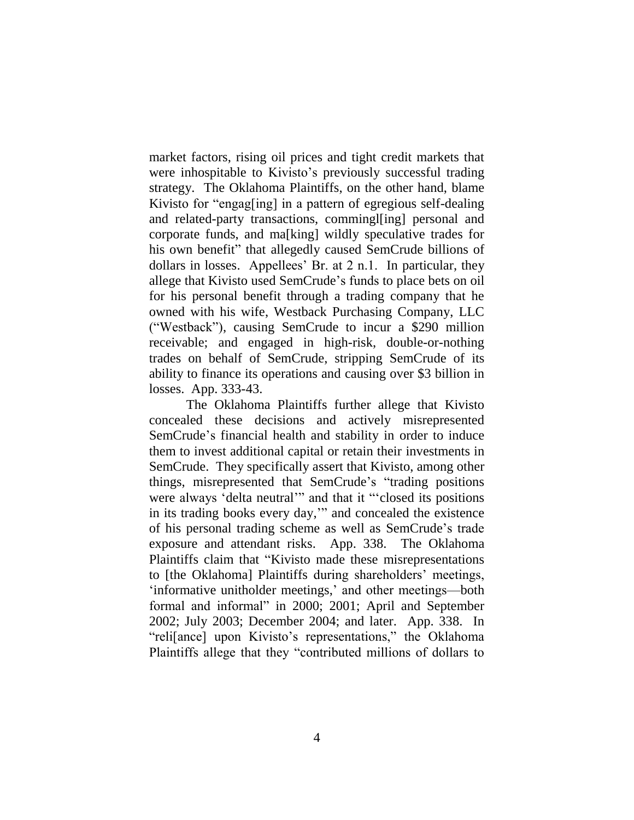market factors, rising oil prices and tight credit markets that were inhospitable to Kivisto's previously successful trading strategy. The Oklahoma Plaintiffs, on the other hand, blame Kivisto for "engag[ing] in a pattern of egregious self-dealing and related-party transactions, commingl[ing] personal and corporate funds, and ma[king] wildly speculative trades for his own benefit" that allegedly caused SemCrude billions of dollars in losses. Appellees' Br. at 2 n.1. In particular, they allege that Kivisto used SemCrude's funds to place bets on oil for his personal benefit through a trading company that he owned with his wife, Westback Purchasing Company, LLC ("Westback"), causing SemCrude to incur a \$290 million receivable; and engaged in high-risk, double-or-nothing trades on behalf of SemCrude, stripping SemCrude of its ability to finance its operations and causing over \$3 billion in losses. App. 333-43.

The Oklahoma Plaintiffs further allege that Kivisto concealed these decisions and actively misrepresented SemCrude's financial health and stability in order to induce them to invest additional capital or retain their investments in SemCrude. They specifically assert that Kivisto, among other things, misrepresented that SemCrude's "trading positions were always 'delta neutral'" and that it "'closed its positions in its trading books every day,'" and concealed the existence of his personal trading scheme as well as SemCrude's trade exposure and attendant risks. App. 338. The Oklahoma Plaintiffs claim that "Kivisto made these misrepresentations to [the Oklahoma] Plaintiffs during shareholders' meetings, 'informative unitholder meetings,' and other meetings—both formal and informal" in 2000; 2001; April and September 2002; July 2003; December 2004; and later. App. 338. In "reli[ance] upon Kivisto's representations," the Oklahoma Plaintiffs allege that they "contributed millions of dollars to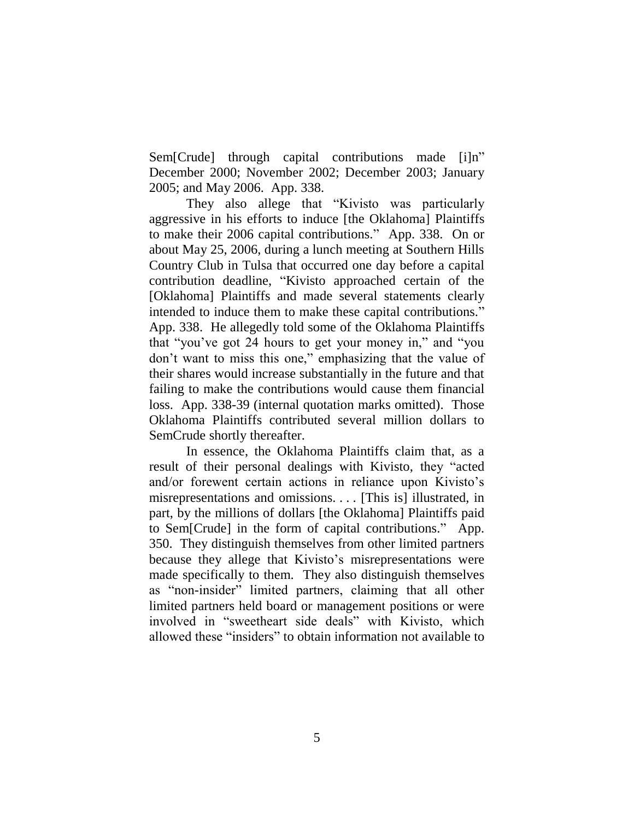Sem[Crude] through capital contributions made [i]n" December 2000; November 2002; December 2003; January 2005; and May 2006. App. 338.

They also allege that "Kivisto was particularly aggressive in his efforts to induce [the Oklahoma] Plaintiffs to make their 2006 capital contributions." App. 338. On or about May 25, 2006, during a lunch meeting at Southern Hills Country Club in Tulsa that occurred one day before a capital contribution deadline, "Kivisto approached certain of the [Oklahoma] Plaintiffs and made several statements clearly intended to induce them to make these capital contributions." App. 338. He allegedly told some of the Oklahoma Plaintiffs that "you've got 24 hours to get your money in," and "you don't want to miss this one," emphasizing that the value of their shares would increase substantially in the future and that failing to make the contributions would cause them financial loss. App. 338-39 (internal quotation marks omitted). Those Oklahoma Plaintiffs contributed several million dollars to SemCrude shortly thereafter.

In essence, the Oklahoma Plaintiffs claim that, as a result of their personal dealings with Kivisto, they "acted and/or forewent certain actions in reliance upon Kivisto's misrepresentations and omissions. . . . [This is] illustrated, in part, by the millions of dollars [the Oklahoma] Plaintiffs paid to Sem[Crude] in the form of capital contributions." App. 350. They distinguish themselves from other limited partners because they allege that Kivisto's misrepresentations were made specifically to them. They also distinguish themselves as "non-insider" limited partners, claiming that all other limited partners held board or management positions or were involved in "sweetheart side deals" with Kivisto, which allowed these "insiders" to obtain information not available to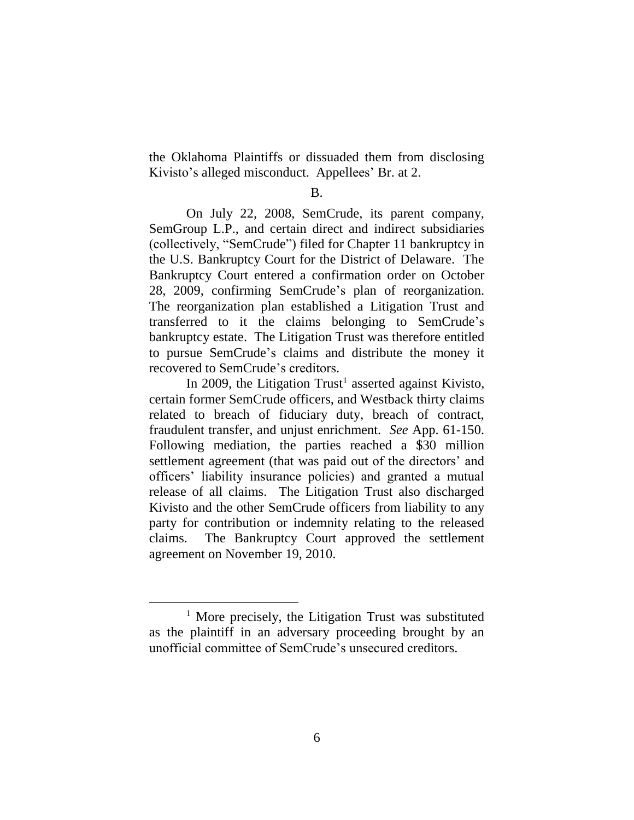the Oklahoma Plaintiffs or dissuaded them from disclosing Kivisto's alleged misconduct. Appellees' Br. at 2.

#### B.

On July 22, 2008, SemCrude, its parent company, SemGroup L.P., and certain direct and indirect subsidiaries (collectively, "SemCrude") filed for Chapter 11 bankruptcy in the U.S. Bankruptcy Court for the District of Delaware. The Bankruptcy Court entered a confirmation order on October 28, 2009, confirming SemCrude's plan of reorganization. The reorganization plan established a Litigation Trust and transferred to it the claims belonging to SemCrude's bankruptcy estate. The Litigation Trust was therefore entitled to pursue SemCrude's claims and distribute the money it recovered to SemCrude's creditors.

In 2009, the Litigation  $Trust<sup>1</sup>$  asserted against Kivisto, certain former SemCrude officers, and Westback thirty claims related to breach of fiduciary duty, breach of contract, fraudulent transfer, and unjust enrichment. *See* App. 61-150. Following mediation, the parties reached a \$30 million settlement agreement (that was paid out of the directors' and officers' liability insurance policies) and granted a mutual release of all claims. The Litigation Trust also discharged Kivisto and the other SemCrude officers from liability to any party for contribution or indemnity relating to the released claims. The Bankruptcy Court approved the settlement agreement on November 19, 2010.

<sup>&</sup>lt;sup>1</sup> More precisely, the Litigation Trust was substituted as the plaintiff in an adversary proceeding brought by an unofficial committee of SemCrude's unsecured creditors.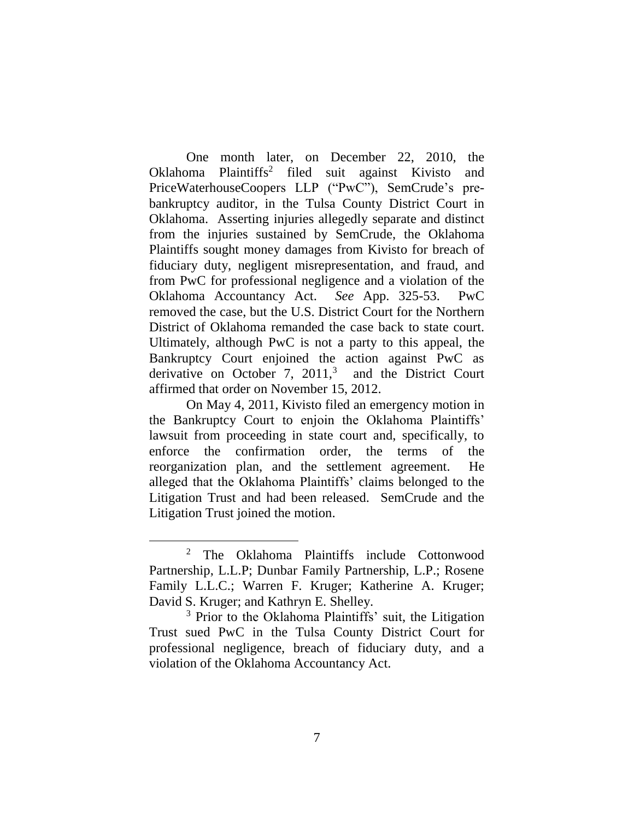One month later, on December 22, 2010, the Oklahoma Plaintiffs<sup>2</sup> filed suit against Kivisto and PriceWaterhouseCoopers LLP ("PwC"), SemCrude's prebankruptcy auditor, in the Tulsa County District Court in Oklahoma. Asserting injuries allegedly separate and distinct from the injuries sustained by SemCrude, the Oklahoma Plaintiffs sought money damages from Kivisto for breach of fiduciary duty, negligent misrepresentation, and fraud, and from PwC for professional negligence and a violation of the Oklahoma Accountancy Act. *See* App. 325-53. PwC removed the case, but the U.S. District Court for the Northern District of Oklahoma remanded the case back to state court. Ultimately, although PwC is not a party to this appeal, the Bankruptcy Court enjoined the action against PwC as derivative on October 7,  $2011<sup>3</sup>$ and the District Court affirmed that order on November 15, 2012.

On May 4, 2011, Kivisto filed an emergency motion in the Bankruptcy Court to enjoin the Oklahoma Plaintiffs' lawsuit from proceeding in state court and, specifically, to enforce the confirmation order, the terms of the reorganization plan, and the settlement agreement. He alleged that the Oklahoma Plaintiffs' claims belonged to the Litigation Trust and had been released. SemCrude and the Litigation Trust joined the motion.

<sup>&</sup>lt;sup>2</sup> The Oklahoma Plaintiffs include Cottonwood Partnership, L.L.P; Dunbar Family Partnership, L.P.; Rosene Family L.L.C.; Warren F. Kruger; Katherine A. Kruger; David S. Kruger; and Kathryn E. Shelley.

<sup>&</sup>lt;sup>3</sup> Prior to the Oklahoma Plaintiffs' suit, the Litigation Trust sued PwC in the Tulsa County District Court for professional negligence, breach of fiduciary duty, and a violation of the Oklahoma Accountancy Act.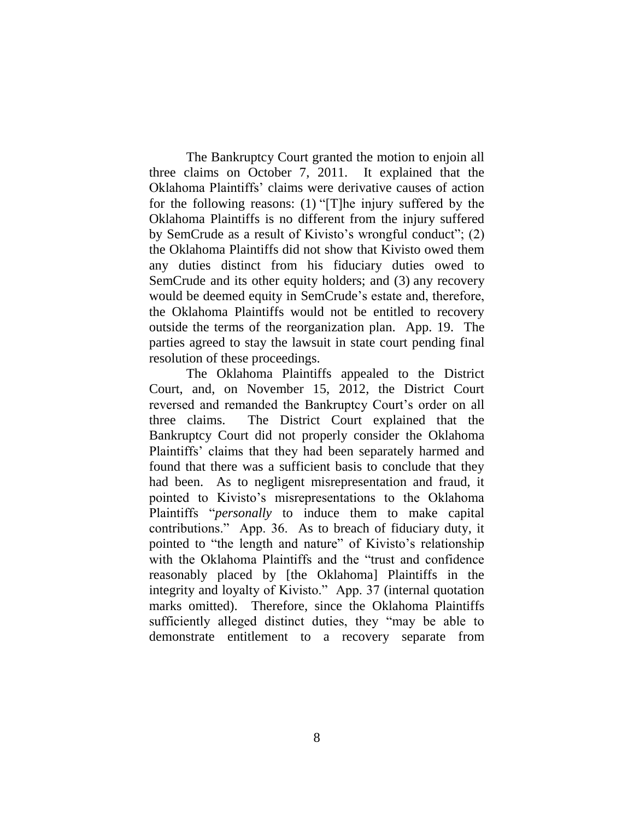The Bankruptcy Court granted the motion to enjoin all three claims on October 7, 2011. It explained that the Oklahoma Plaintiffs' claims were derivative causes of action for the following reasons: (1) "[T]he injury suffered by the Oklahoma Plaintiffs is no different from the injury suffered by SemCrude as a result of Kivisto's wrongful conduct"; (2) the Oklahoma Plaintiffs did not show that Kivisto owed them any duties distinct from his fiduciary duties owed to SemCrude and its other equity holders; and (3) any recovery would be deemed equity in SemCrude's estate and, therefore, the Oklahoma Plaintiffs would not be entitled to recovery outside the terms of the reorganization plan. App. 19. The parties agreed to stay the lawsuit in state court pending final resolution of these proceedings.

The Oklahoma Plaintiffs appealed to the District Court, and, on November 15, 2012, the District Court reversed and remanded the Bankruptcy Court's order on all three claims. The District Court explained that the Bankruptcy Court did not properly consider the Oklahoma Plaintiffs' claims that they had been separately harmed and found that there was a sufficient basis to conclude that they had been. As to negligent misrepresentation and fraud, it pointed to Kivisto's misrepresentations to the Oklahoma Plaintiffs "*personally* to induce them to make capital contributions." App. 36. As to breach of fiduciary duty, it pointed to "the length and nature" of Kivisto's relationship with the Oklahoma Plaintiffs and the "trust and confidence reasonably placed by [the Oklahoma] Plaintiffs in the integrity and loyalty of Kivisto." App. 37 (internal quotation marks omitted). Therefore, since the Oklahoma Plaintiffs sufficiently alleged distinct duties, they "may be able to demonstrate entitlement to a recovery separate from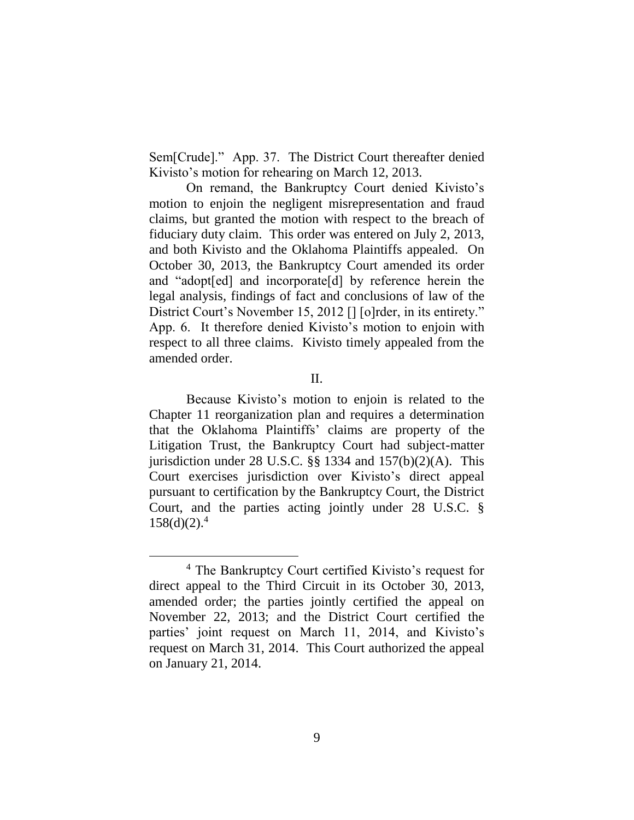Sem[Crude]." App. 37. The District Court thereafter denied Kivisto's motion for rehearing on March 12, 2013.

On remand, the Bankruptcy Court denied Kivisto's motion to enjoin the negligent misrepresentation and fraud claims, but granted the motion with respect to the breach of fiduciary duty claim. This order was entered on July 2, 2013, and both Kivisto and the Oklahoma Plaintiffs appealed. On October 30, 2013, the Bankruptcy Court amended its order and "adopt[ed] and incorporate[d] by reference herein the legal analysis, findings of fact and conclusions of law of the District Court's November 15, 2012 [] [o]rder, in its entirety." App. 6. It therefore denied Kivisto's motion to enjoin with respect to all three claims. Kivisto timely appealed from the amended order.

II.

Because Kivisto's motion to enjoin is related to the Chapter 11 reorganization plan and requires a determination that the Oklahoma Plaintiffs' claims are property of the Litigation Trust, the Bankruptcy Court had subject-matter jurisdiction under 28 U.S.C.  $\S$ § 1334 and 157(b)(2)(A). This Court exercises jurisdiction over Kivisto's direct appeal pursuant to certification by the Bankruptcy Court, the District Court, and the parties acting jointly under 28 U.S.C. §  $158(d)(2).<sup>4</sup>$ 

<sup>4</sup> The Bankruptcy Court certified Kivisto's request for direct appeal to the Third Circuit in its October 30, 2013, amended order; the parties jointly certified the appeal on November 22, 2013; and the District Court certified the parties' joint request on March 11, 2014, and Kivisto's request on March 31, 2014. This Court authorized the appeal on January 21, 2014.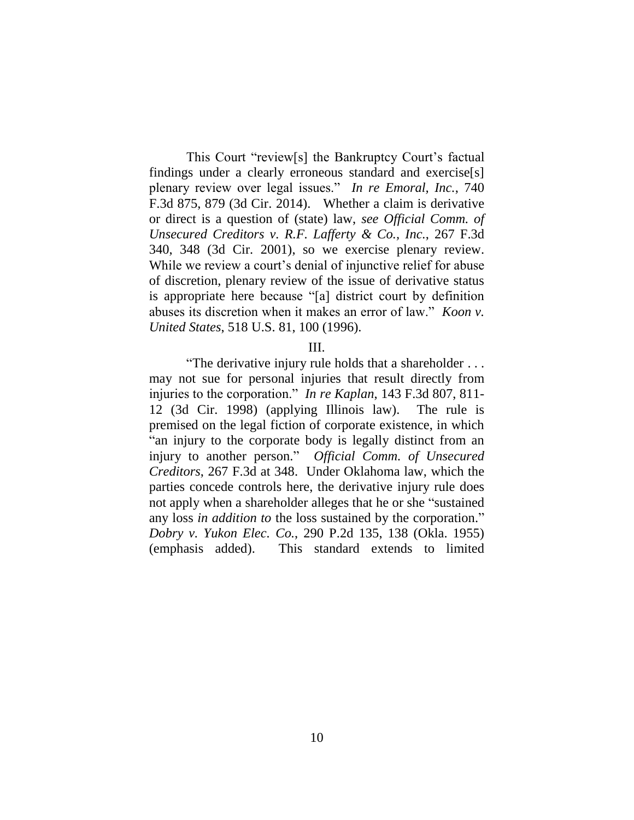This Court "review[s] the Bankruptcy Court's factual findings under a clearly erroneous standard and exercise[s] plenary review over legal issues." *In re Emoral, Inc.*, 740 F.3d 875, 879 (3d Cir. 2014). Whether a claim is derivative or direct is a question of (state) law, *see Official Comm. of Unsecured Creditors v. R.F. Lafferty & Co., Inc.*, 267 F.3d 340, 348 (3d Cir. 2001), so we exercise plenary review. While we review a court's denial of injunctive relief for abuse of discretion, plenary review of the issue of derivative status is appropriate here because "[a] district court by definition abuses its discretion when it makes an error of law." *Koon v. United States*, 518 U.S. 81, 100 (1996).

#### III.

"The derivative injury rule holds that a shareholder . . . may not sue for personal injuries that result directly from injuries to the corporation." *In re Kaplan*, 143 F.3d 807, 811- 12 (3d Cir. 1998) (applying Illinois law). The rule is premised on the legal fiction of corporate existence, in which "an injury to the corporate body is legally distinct from an injury to another person." *Official Comm. of Unsecured Creditors*, 267 F.3d at 348. Under Oklahoma law, which the parties concede controls here, the derivative injury rule does not apply when a shareholder alleges that he or she "sustained any loss *in addition to* the loss sustained by the corporation." *Dobry v. Yukon Elec. Co.*, 290 P.2d 135, 138 (Okla. 1955) (emphasis added). This standard extends to limited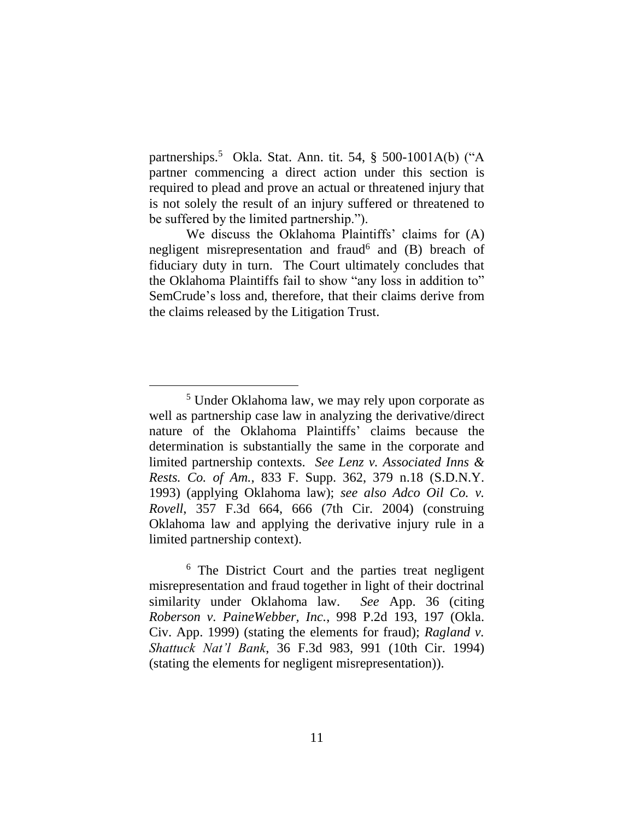partnerships.<sup>5</sup> Okla. Stat. Ann. tit. 54, § 500-1001A(b) ("A partner commencing a direct action under this section is required to plead and prove an actual or threatened injury that is not solely the result of an injury suffered or threatened to be suffered by the limited partnership.").

We discuss the Oklahoma Plaintiffs' claims for (A) negligent misrepresentation and fraud<sup>6</sup> and (B) breach of fiduciary duty in turn. The Court ultimately concludes that the Oklahoma Plaintiffs fail to show "any loss in addition to" SemCrude's loss and, therefore, that their claims derive from the claims released by the Litigation Trust.

 $\overline{a}$ 

<sup>6</sup> The District Court and the parties treat negligent misrepresentation and fraud together in light of their doctrinal similarity under Oklahoma law. *See* App. 36 (citing *Roberson v. PaineWebber, Inc.*, 998 P.2d 193, 197 (Okla. Civ. App. 1999) (stating the elements for fraud); *Ragland v. Shattuck Nat'l Bank*, 36 F.3d 983, 991 (10th Cir. 1994) (stating the elements for negligent misrepresentation)).

<sup>5</sup> Under Oklahoma law, we may rely upon corporate as well as partnership case law in analyzing the derivative/direct nature of the Oklahoma Plaintiffs' claims because the determination is substantially the same in the corporate and limited partnership contexts. *See Lenz v. Associated Inns & Rests. Co. of Am.*, 833 F. Supp. 362, 379 n.18 (S.D.N.Y. 1993) (applying Oklahoma law); *see also Adco Oil Co. v. Rovell*, 357 F.3d 664, 666 (7th Cir. 2004) (construing Oklahoma law and applying the derivative injury rule in a limited partnership context).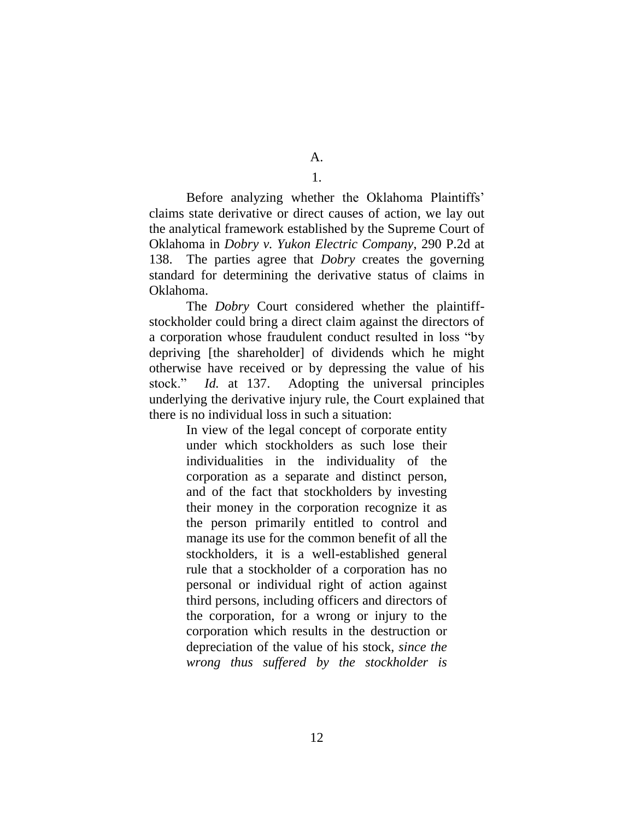1.

Before analyzing whether the Oklahoma Plaintiffs' claims state derivative or direct causes of action, we lay out the analytical framework established by the Supreme Court of Oklahoma in *Dobry v. Yukon Electric Company*, 290 P.2d at 138. The parties agree that *Dobry* creates the governing standard for determining the derivative status of claims in Oklahoma.

The *Dobry* Court considered whether the plaintiffstockholder could bring a direct claim against the directors of a corporation whose fraudulent conduct resulted in loss "by depriving [the shareholder] of dividends which he might otherwise have received or by depressing the value of his stock." *Id.* at 137. Adopting the universal principles underlying the derivative injury rule, the Court explained that there is no individual loss in such a situation:

> In view of the legal concept of corporate entity under which stockholders as such lose their individualities in the individuality of the corporation as a separate and distinct person, and of the fact that stockholders by investing their money in the corporation recognize it as the person primarily entitled to control and manage its use for the common benefit of all the stockholders, it is a well-established general rule that a stockholder of a corporation has no personal or individual right of action against third persons, including officers and directors of the corporation, for a wrong or injury to the corporation which results in the destruction or depreciation of the value of his stock, *since the wrong thus suffered by the stockholder is*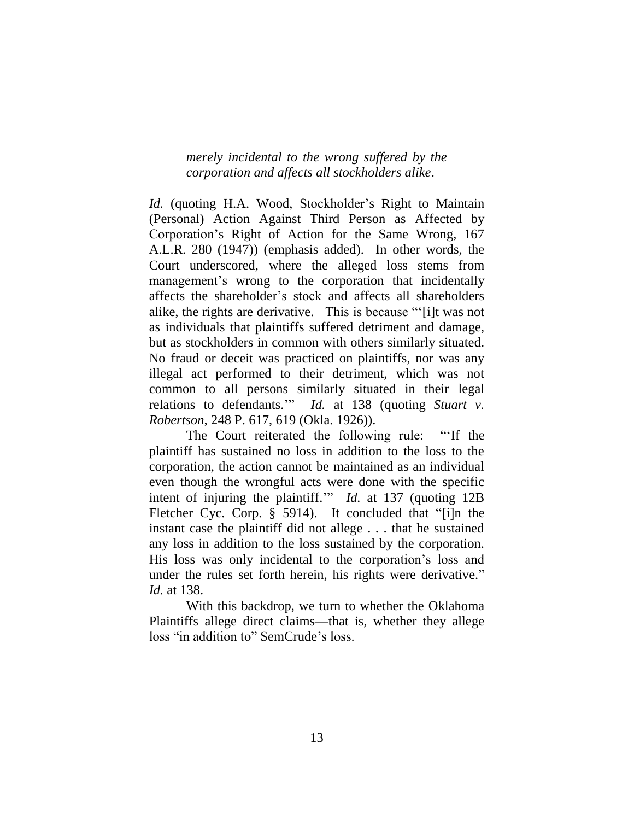*merely incidental to the wrong suffered by the corporation and affects all stockholders alike*.

*Id.* (quoting H.A. Wood, Stockholder's Right to Maintain (Personal) Action Against Third Person as Affected by Corporation's Right of Action for the Same Wrong, 167 A.L.R. 280 (1947)) (emphasis added). In other words, the Court underscored, where the alleged loss stems from management's wrong to the corporation that incidentally affects the shareholder's stock and affects all shareholders alike, the rights are derivative. This is because "'[i]t was not as individuals that plaintiffs suffered detriment and damage, but as stockholders in common with others similarly situated. No fraud or deceit was practiced on plaintiffs, nor was any illegal act performed to their detriment, which was not common to all persons similarly situated in their legal relations to defendants.'" *Id.* at 138 (quoting *Stuart v. Robertson*, 248 P. 617, 619 (Okla. 1926)).

The Court reiterated the following rule: "'If the plaintiff has sustained no loss in addition to the loss to the corporation, the action cannot be maintained as an individual even though the wrongful acts were done with the specific intent of injuring the plaintiff.'" *Id.* at 137 (quoting 12B Fletcher Cyc. Corp. § 5914). It concluded that "[i]n the instant case the plaintiff did not allege . . . that he sustained any loss in addition to the loss sustained by the corporation. His loss was only incidental to the corporation's loss and under the rules set forth herein, his rights were derivative." *Id.* at 138.

With this backdrop, we turn to whether the Oklahoma Plaintiffs allege direct claims—that is, whether they allege loss "in addition to" SemCrude's loss.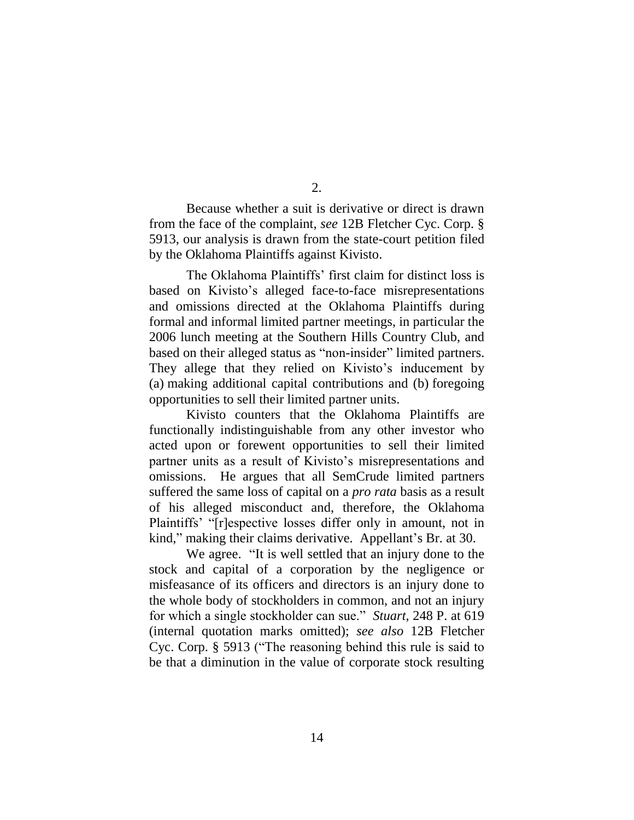Because whether a suit is derivative or direct is drawn from the face of the complaint, *see* 12B Fletcher Cyc. Corp. § 5913, our analysis is drawn from the state-court petition filed by the Oklahoma Plaintiffs against Kivisto.

The Oklahoma Plaintiffs' first claim for distinct loss is based on Kivisto's alleged face-to-face misrepresentations and omissions directed at the Oklahoma Plaintiffs during formal and informal limited partner meetings, in particular the 2006 lunch meeting at the Southern Hills Country Club, and based on their alleged status as "non-insider" limited partners. They allege that they relied on Kivisto's inducement by (a) making additional capital contributions and (b) foregoing opportunities to sell their limited partner units.

Kivisto counters that the Oklahoma Plaintiffs are functionally indistinguishable from any other investor who acted upon or forewent opportunities to sell their limited partner units as a result of Kivisto's misrepresentations and omissions. He argues that all SemCrude limited partners suffered the same loss of capital on a *pro rata* basis as a result of his alleged misconduct and, therefore, the Oklahoma Plaintiffs' "[r]espective losses differ only in amount, not in kind," making their claims derivative. Appellant's Br. at 30.

We agree. "It is well settled that an injury done to the stock and capital of a corporation by the negligence or misfeasance of its officers and directors is an injury done to the whole body of stockholders in common, and not an injury for which a single stockholder can sue." *Stuart*, 248 P. at 619 (internal quotation marks omitted); *see also* 12B Fletcher Cyc. Corp. § 5913 ("The reasoning behind this rule is said to be that a diminution in the value of corporate stock resulting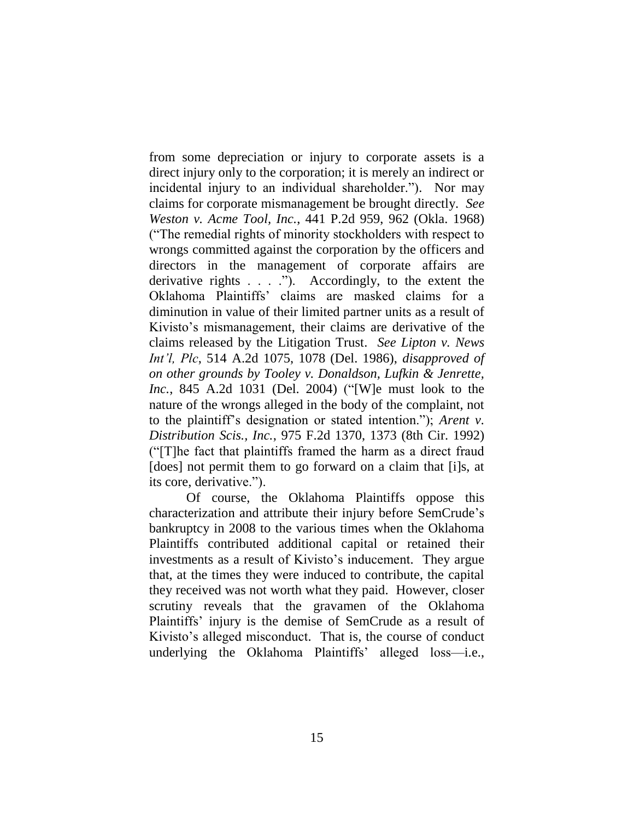from some depreciation or injury to corporate assets is a direct injury only to the corporation; it is merely an indirect or incidental injury to an individual shareholder."). Nor may claims for corporate mismanagement be brought directly. *See Weston v. Acme Tool, Inc.*, 441 P.2d 959, 962 (Okla. 1968) ("The remedial rights of minority stockholders with respect to wrongs committed against the corporation by the officers and directors in the management of corporate affairs are derivative rights . . . ."). Accordingly, to the extent the Oklahoma Plaintiffs' claims are masked claims for a diminution in value of their limited partner units as a result of Kivisto's mismanagement, their claims are derivative of the claims released by the Litigation Trust. *See Lipton v. News Int'l, Plc*, 514 A.2d 1075, 1078 (Del. 1986), *disapproved of on other grounds by Tooley v. Donaldson, Lufkin & Jenrette, Inc.*, 845 A.2d 1031 (Del. 2004) ("[W]e must look to the nature of the wrongs alleged in the body of the complaint, not to the plaintiff's designation or stated intention."); *Arent v. Distribution Scis., Inc.*, 975 F.2d 1370, 1373 (8th Cir. 1992) ("[T]he fact that plaintiffs framed the harm as a direct fraud [does] not permit them to go forward on a claim that [i]s, at its core, derivative.").

Of course, the Oklahoma Plaintiffs oppose this characterization and attribute their injury before SemCrude's bankruptcy in 2008 to the various times when the Oklahoma Plaintiffs contributed additional capital or retained their investments as a result of Kivisto's inducement. They argue that, at the times they were induced to contribute, the capital they received was not worth what they paid. However, closer scrutiny reveals that the gravamen of the Oklahoma Plaintiffs' injury is the demise of SemCrude as a result of Kivisto's alleged misconduct. That is, the course of conduct underlying the Oklahoma Plaintiffs' alleged loss—i.e.,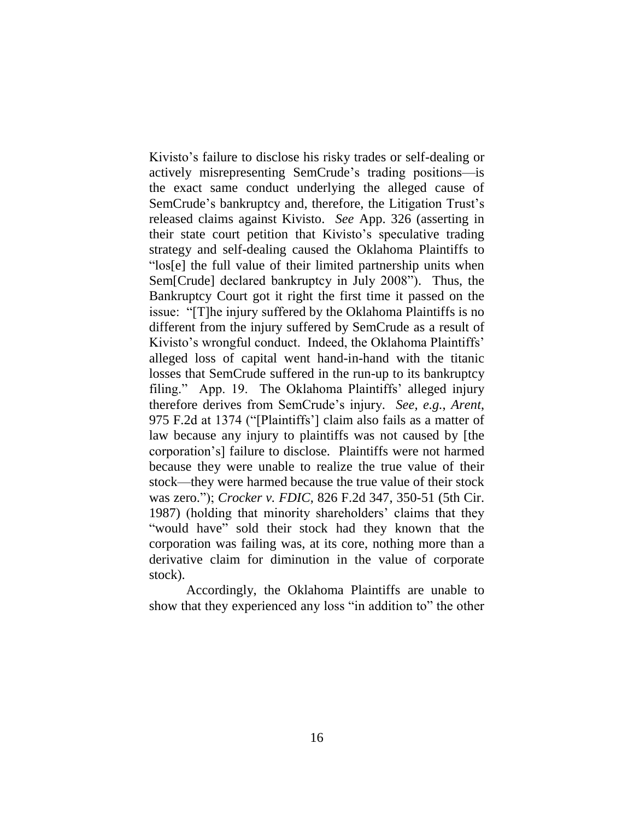Kivisto's failure to disclose his risky trades or self-dealing or actively misrepresenting SemCrude's trading positions—is the exact same conduct underlying the alleged cause of SemCrude's bankruptcy and, therefore, the Litigation Trust's released claims against Kivisto. *See* App. 326 (asserting in their state court petition that Kivisto's speculative trading strategy and self-dealing caused the Oklahoma Plaintiffs to "los[e] the full value of their limited partnership units when Sem[Crude] declared bankruptcy in July 2008"). Thus, the Bankruptcy Court got it right the first time it passed on the issue: "[T]he injury suffered by the Oklahoma Plaintiffs is no different from the injury suffered by SemCrude as a result of Kivisto's wrongful conduct. Indeed, the Oklahoma Plaintiffs' alleged loss of capital went hand-in-hand with the titanic losses that SemCrude suffered in the run-up to its bankruptcy filing." App. 19. The Oklahoma Plaintiffs' alleged injury therefore derives from SemCrude's injury. *See, e.g.*, *Arent*, 975 F.2d at 1374 ("[Plaintiffs'] claim also fails as a matter of law because any injury to plaintiffs was not caused by [the corporation's] failure to disclose. Plaintiffs were not harmed because they were unable to realize the true value of their stock—they were harmed because the true value of their stock was zero."); *Crocker v. FDIC*, 826 F.2d 347, 350-51 (5th Cir. 1987) (holding that minority shareholders' claims that they "would have" sold their stock had they known that the corporation was failing was, at its core, nothing more than a derivative claim for diminution in the value of corporate stock).

Accordingly, the Oklahoma Plaintiffs are unable to show that they experienced any loss "in addition to" the other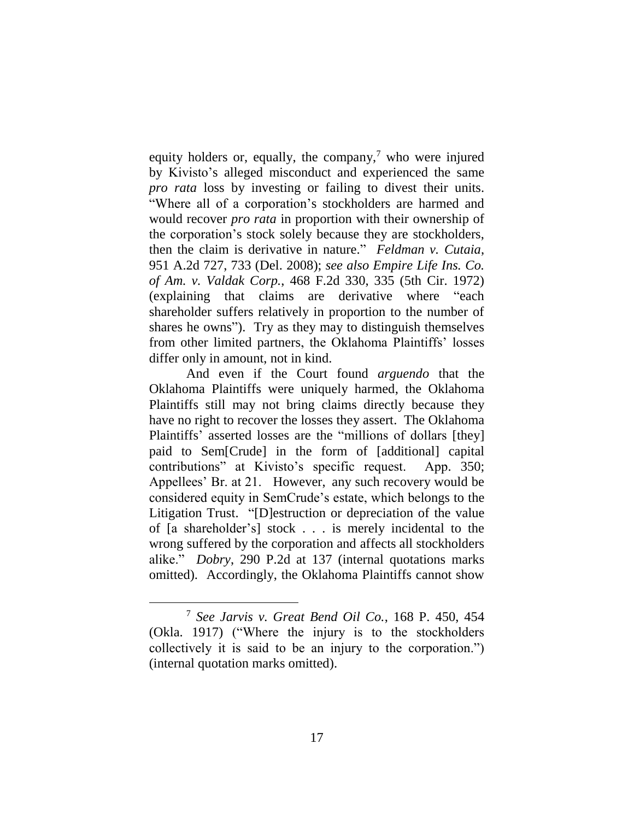equity holders or, equally, the company, $\alpha$  who were injured by Kivisto's alleged misconduct and experienced the same *pro rata* loss by investing or failing to divest their units. "Where all of a corporation's stockholders are harmed and would recover *pro rata* in proportion with their ownership of the corporation's stock solely because they are stockholders, then the claim is derivative in nature." *Feldman v. Cutaia*, 951 A.2d 727, 733 (Del. 2008); *see also Empire Life Ins. Co. of Am. v. Valdak Corp.*, 468 F.2d 330, 335 (5th Cir. 1972) (explaining that claims are derivative where "each shareholder suffers relatively in proportion to the number of shares he owns"). Try as they may to distinguish themselves from other limited partners, the Oklahoma Plaintiffs' losses differ only in amount, not in kind.

And even if the Court found *arguendo* that the Oklahoma Plaintiffs were uniquely harmed, the Oklahoma Plaintiffs still may not bring claims directly because they have no right to recover the losses they assert. The Oklahoma Plaintiffs' asserted losses are the "millions of dollars [they] paid to Sem[Crude] in the form of [additional] capital contributions" at Kivisto's specific request. App. 350; Appellees' Br. at 21. However, any such recovery would be considered equity in SemCrude's estate, which belongs to the Litigation Trust. "[D]estruction or depreciation of the value of [a shareholder's] stock . . . is merely incidental to the wrong suffered by the corporation and affects all stockholders alike." *Dobry*, 290 P.2d at 137 (internal quotations marks omitted). Accordingly, the Oklahoma Plaintiffs cannot show

<sup>7</sup> *See Jarvis v. Great Bend Oil Co.*, 168 P. 450, 454 (Okla. 1917) ("Where the injury is to the stockholders collectively it is said to be an injury to the corporation.") (internal quotation marks omitted).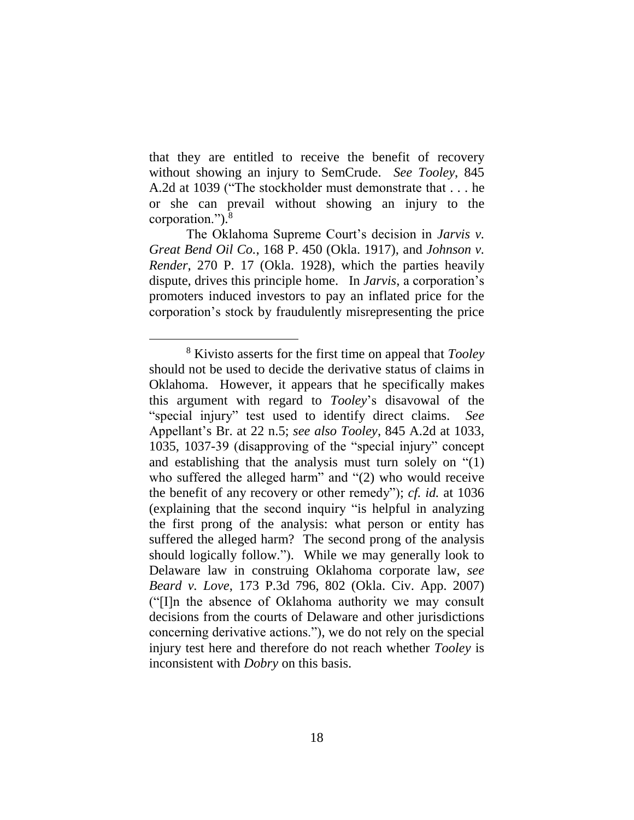that they are entitled to receive the benefit of recovery without showing an injury to SemCrude. *See Tooley*, 845 A.2d at 1039 ("The stockholder must demonstrate that . . . he or she can prevail without showing an injury to the corporation.").<sup>8</sup>

The Oklahoma Supreme Court's decision in *Jarvis v. Great Bend Oil Co.*, 168 P. 450 (Okla. 1917), and *Johnson v. Render*, 270 P. 17 (Okla. 1928), which the parties heavily dispute, drives this principle home. In *Jarvis*, a corporation's promoters induced investors to pay an inflated price for the corporation's stock by fraudulently misrepresenting the price

<sup>8</sup> Kivisto asserts for the first time on appeal that *Tooley* should not be used to decide the derivative status of claims in Oklahoma. However, it appears that he specifically makes this argument with regard to *Tooley*'s disavowal of the "special injury" test used to identify direct claims. *See* Appellant's Br. at 22 n.5; *see also Tooley*, 845 A.2d at 1033, 1035, 1037-39 (disapproving of the "special injury" concept and establishing that the analysis must turn solely on "(1) who suffered the alleged harm" and "(2) who would receive the benefit of any recovery or other remedy"); *cf. id.* at 1036 (explaining that the second inquiry "is helpful in analyzing the first prong of the analysis: what person or entity has suffered the alleged harm? The second prong of the analysis should logically follow."). While we may generally look to Delaware law in construing Oklahoma corporate law, *see Beard v. Love*, 173 P.3d 796, 802 (Okla. Civ. App. 2007) ("[I]n the absence of Oklahoma authority we may consult decisions from the courts of Delaware and other jurisdictions concerning derivative actions."), we do not rely on the special injury test here and therefore do not reach whether *Tooley* is inconsistent with *Dobry* on this basis.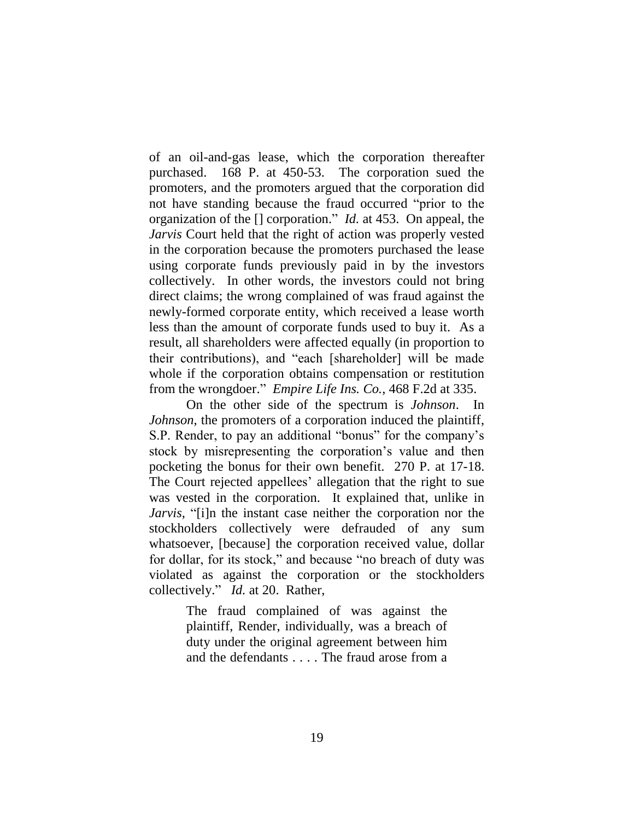of an oil-and-gas lease, which the corporation thereafter purchased. 168 P. at 450-53. The corporation sued the promoters, and the promoters argued that the corporation did not have standing because the fraud occurred "prior to the organization of the [] corporation." *Id.* at 453. On appeal, the *Jarvis* Court held that the right of action was properly vested in the corporation because the promoters purchased the lease using corporate funds previously paid in by the investors collectively. In other words, the investors could not bring direct claims; the wrong complained of was fraud against the newly-formed corporate entity, which received a lease worth less than the amount of corporate funds used to buy it. As a result, all shareholders were affected equally (in proportion to their contributions), and "each [shareholder] will be made whole if the corporation obtains compensation or restitution from the wrongdoer." *Empire Life Ins. Co.*, 468 F.2d at 335.

On the other side of the spectrum is *Johnson*. In *Johnson*, the promoters of a corporation induced the plaintiff, S.P. Render, to pay an additional "bonus" for the company's stock by misrepresenting the corporation's value and then pocketing the bonus for their own benefit. 270 P. at 17-18. The Court rejected appellees' allegation that the right to sue was vested in the corporation. It explained that, unlike in *Jarvis*, "[i]n the instant case neither the corporation nor the stockholders collectively were defrauded of any sum whatsoever, [because] the corporation received value, dollar for dollar, for its stock," and because "no breach of duty was violated as against the corporation or the stockholders collectively." *Id.* at 20. Rather,

> The fraud complained of was against the plaintiff, Render, individually, was a breach of duty under the original agreement between him and the defendants . . . . The fraud arose from a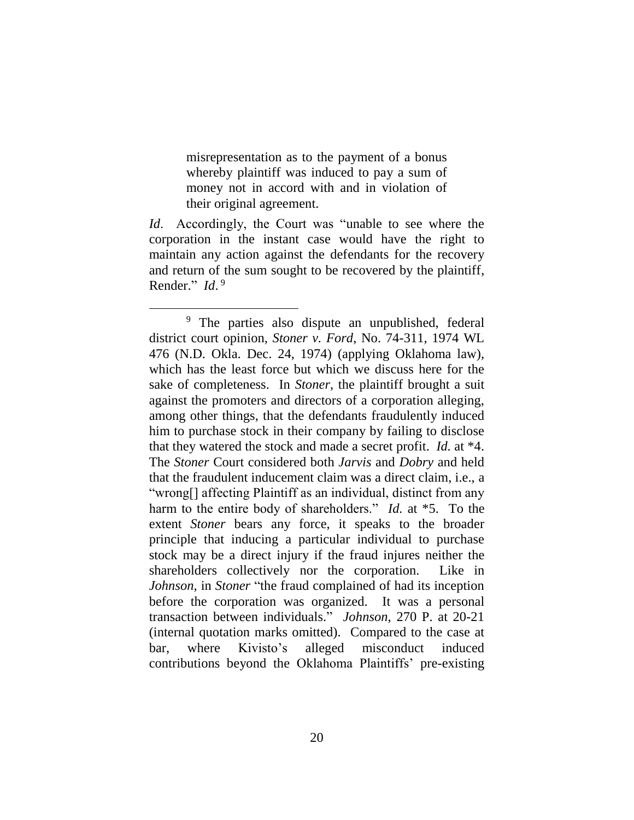misrepresentation as to the payment of a bonus whereby plaintiff was induced to pay a sum of money not in accord with and in violation of their original agreement.

*Id*. Accordingly, the Court was "unable to see where the corporation in the instant case would have the right to maintain any action against the defendants for the recovery and return of the sum sought to be recovered by the plaintiff, Render." *Id*. 9

<sup>&</sup>lt;sup>9</sup> The parties also dispute an unpublished, federal district court opinion, *Stoner v. Ford*, No. 74-311, 1974 WL 476 (N.D. Okla. Dec. 24, 1974) (applying Oklahoma law), which has the least force but which we discuss here for the sake of completeness. In *Stoner*, the plaintiff brought a suit against the promoters and directors of a corporation alleging, among other things, that the defendants fraudulently induced him to purchase stock in their company by failing to disclose that they watered the stock and made a secret profit. *Id.* at \*4. The *Stoner* Court considered both *Jarvis* and *Dobry* and held that the fraudulent inducement claim was a direct claim, i.e., a "wrong[] affecting Plaintiff as an individual, distinct from any harm to the entire body of shareholders." *Id.* at \*5. To the extent *Stoner* bears any force, it speaks to the broader principle that inducing a particular individual to purchase stock may be a direct injury if the fraud injures neither the shareholders collectively nor the corporation. Like in *Johnson*, in *Stoner* "the fraud complained of had its inception before the corporation was organized. It was a personal transaction between individuals." *Johnson*, 270 P. at 20-21 (internal quotation marks omitted). Compared to the case at bar, where Kivisto's alleged misconduct induced contributions beyond the Oklahoma Plaintiffs' pre-existing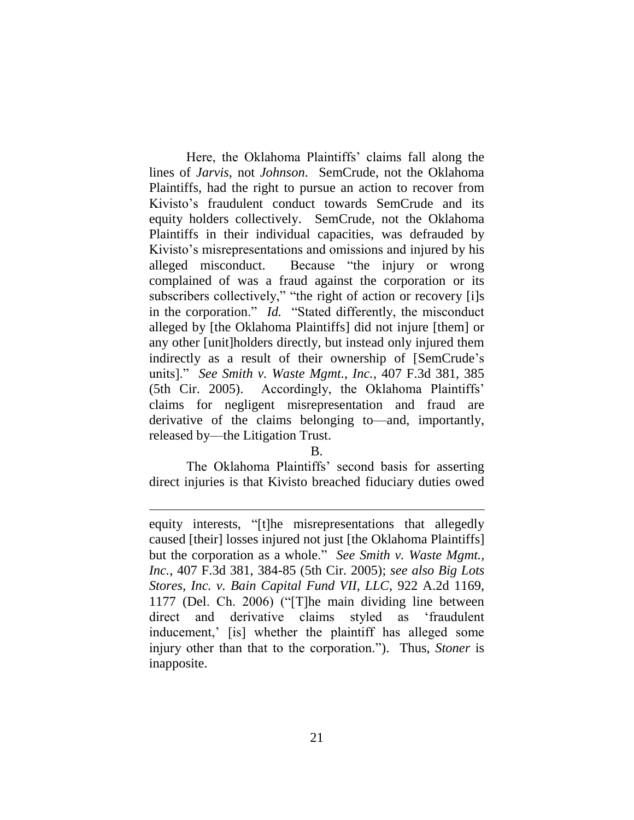Here, the Oklahoma Plaintiffs' claims fall along the lines of *Jarvis*, not *Johnson*. SemCrude, not the Oklahoma Plaintiffs, had the right to pursue an action to recover from Kivisto's fraudulent conduct towards SemCrude and its equity holders collectively. SemCrude, not the Oklahoma Plaintiffs in their individual capacities, was defrauded by Kivisto's misrepresentations and omissions and injured by his alleged misconduct. Because "the injury or wrong complained of was a fraud against the corporation or its subscribers collectively," "the right of action or recovery [i]s in the corporation." *Id.* "Stated differently, the misconduct alleged by [the Oklahoma Plaintiffs] did not injure [them] or any other [unit]holders directly, but instead only injured them indirectly as a result of their ownership of [SemCrude's units]." *See Smith v. Waste Mgmt., Inc.*, 407 F.3d 381, 385 (5th Cir. 2005). Accordingly, the Oklahoma Plaintiffs' claims for negligent misrepresentation and fraud are derivative of the claims belonging to—and, importantly, released by—the Litigation Trust.

B.

The Oklahoma Plaintiffs' second basis for asserting direct injuries is that Kivisto breached fiduciary duties owed

equity interests, "[t]he misrepresentations that allegedly caused [their] losses injured not just [the Oklahoma Plaintiffs] but the corporation as a whole." *See Smith v. Waste Mgmt., Inc.*, 407 F.3d 381, 384-85 (5th Cir. 2005); *see also Big Lots Stores, Inc. v. Bain Capital Fund VII, LLC*, 922 A.2d 1169, 1177 (Del. Ch. 2006) ("[T]he main dividing line between direct and derivative claims styled as 'fraudulent inducement,' [is] whether the plaintiff has alleged some injury other than that to the corporation."). Thus, *Stoner* is inapposite.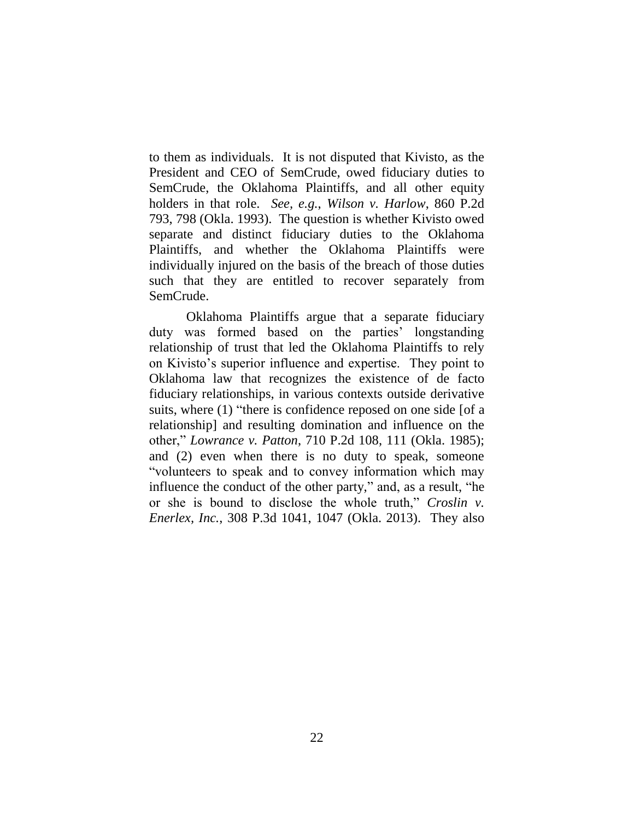to them as individuals. It is not disputed that Kivisto, as the President and CEO of SemCrude, owed fiduciary duties to SemCrude, the Oklahoma Plaintiffs, and all other equity holders in that role. *See, e.g.*, *Wilson v. Harlow*, 860 P.2d 793, 798 (Okla. 1993). The question is whether Kivisto owed separate and distinct fiduciary duties to the Oklahoma Plaintiffs, and whether the Oklahoma Plaintiffs were individually injured on the basis of the breach of those duties such that they are entitled to recover separately from SemCrude.

Oklahoma Plaintiffs argue that a separate fiduciary duty was formed based on the parties' longstanding relationship of trust that led the Oklahoma Plaintiffs to rely on Kivisto's superior influence and expertise. They point to Oklahoma law that recognizes the existence of de facto fiduciary relationships, in various contexts outside derivative suits, where (1) "there is confidence reposed on one side [of a relationship] and resulting domination and influence on the other," *Lowrance v. Patton*, 710 P.2d 108, 111 (Okla. 1985); and (2) even when there is no duty to speak, someone "volunteers to speak and to convey information which may influence the conduct of the other party," and, as a result, "he or she is bound to disclose the whole truth," *Croslin v. Enerlex, Inc.*, 308 P.3d 1041, 1047 (Okla. 2013). They also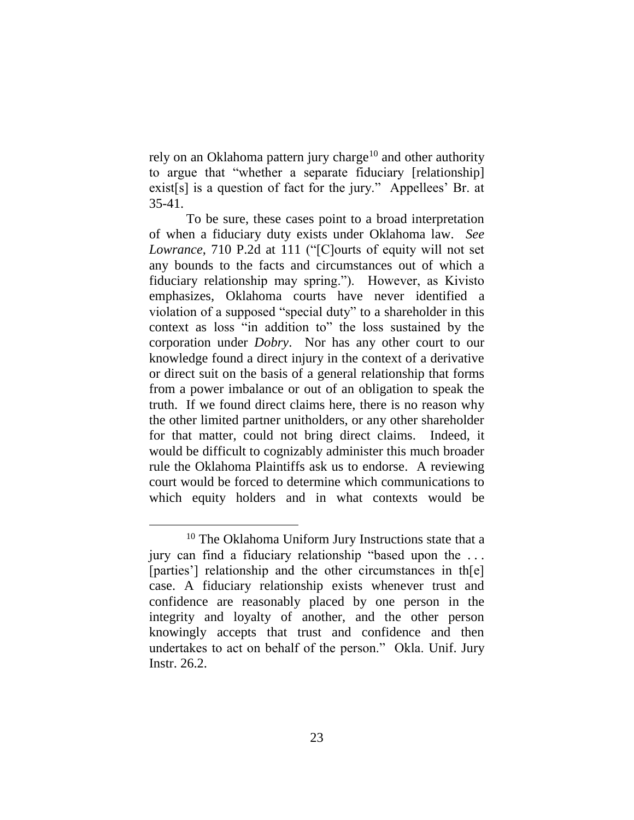rely on an Oklahoma pattern jury charge<sup>10</sup> and other authority to argue that "whether a separate fiduciary [relationship] exist[s] is a question of fact for the jury." Appellees' Br. at 35-41.

To be sure, these cases point to a broad interpretation of when a fiduciary duty exists under Oklahoma law. *See Lowrance*, 710 P.2d at 111 ("[C]ourts of equity will not set any bounds to the facts and circumstances out of which a fiduciary relationship may spring."). However, as Kivisto emphasizes, Oklahoma courts have never identified a violation of a supposed "special duty" to a shareholder in this context as loss "in addition to" the loss sustained by the corporation under *Dobry*. Nor has any other court to our knowledge found a direct injury in the context of a derivative or direct suit on the basis of a general relationship that forms from a power imbalance or out of an obligation to speak the truth. If we found direct claims here, there is no reason why the other limited partner unitholders, or any other shareholder for that matter, could not bring direct claims. Indeed, it would be difficult to cognizably administer this much broader rule the Oklahoma Plaintiffs ask us to endorse. A reviewing court would be forced to determine which communications to which equity holders and in what contexts would be

<sup>&</sup>lt;sup>10</sup> The Oklahoma Uniform Jury Instructions state that a jury can find a fiduciary relationship "based upon the . . . [parties] relationship and the other circumstances in th[e] case. A fiduciary relationship exists whenever trust and confidence are reasonably placed by one person in the integrity and loyalty of another, and the other person knowingly accepts that trust and confidence and then undertakes to act on behalf of the person." Okla. Unif. Jury Instr. 26.2.